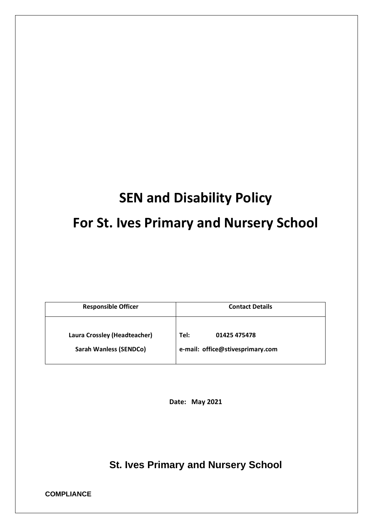# **SEN and Disability Policy For St. Ives Primary and Nursery School**

| <b>Responsible Officer</b>                                    | <b>Contact Details</b>                                   |
|---------------------------------------------------------------|----------------------------------------------------------|
| Laura Crossley (Headteacher)<br><b>Sarah Wanless (SENDCo)</b> | Tel:<br>01425 475478<br>e-mail: office@stivesprimary.com |

**Date: May 2021**

**St. Ives Primary and Nursery School**

**COMPLIANCE**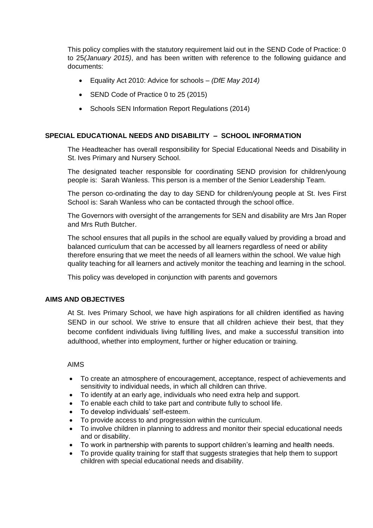This policy complies with the statutory requirement laid out in the SEND Code of Practice: 0 to 25*(January 2015)*, and has been written with reference to the following guidance and documents:

- Equality Act 2010: Advice for schools *(DfE May 2014)*
- SEND Code of Practice 0 to 25 (2015)
- Schools SEN Information Report Regulations (2014)

# **SPECIAL EDUCATIONAL NEEDS AND DISABILITY – SCHOOL INFORMATION**

The Headteacher has overall responsibility for Special Educational Needs and Disability in St. Ives Primary and Nursery School.

The designated teacher responsible for coordinating SEND provision for children/young people is: Sarah Wanless. This person is a member of the Senior Leadership Team.

The person co-ordinating the day to day SEND for children/young people at St. Ives First School is: Sarah Wanless who can be contacted through the school office.

The Governors with oversight of the arrangements for SEN and disability are Mrs Jan Roper and Mrs Ruth Butcher.

The school ensures that all pupils in the school are equally valued by providing a broad and balanced curriculum that can be accessed by all learners regardless of need or ability therefore ensuring that we meet the needs of all learners within the school. We value high quality teaching for all learners and actively monitor the teaching and learning in the school.

This policy was developed in conjunction with parents and governors

# **AIMS AND OBJECTIVES**

At St. Ives Primary School, we have high aspirations for all children identified as having SEND in our school. We strive to ensure that all children achieve their best, that they become confident individuals living fulfilling lives, and make a successful transition into adulthood, whether into employment, further or higher education or training.

#### AIMS

- To create an atmosphere of encouragement, acceptance, respect of achievements and sensitivity to individual needs, in which all children can thrive.
- To identify at an early age, individuals who need extra help and support.
- To enable each child to take part and contribute fully to school life.
- To develop individuals' self-esteem.
- To provide access to and progression within the curriculum.
- To involve children in planning to address and monitor their special educational needs and or disability.
- To work in partnership with parents to support children's learning and health needs.
- To provide quality training for staff that suggests strategies that help them to support children with special educational needs and disability.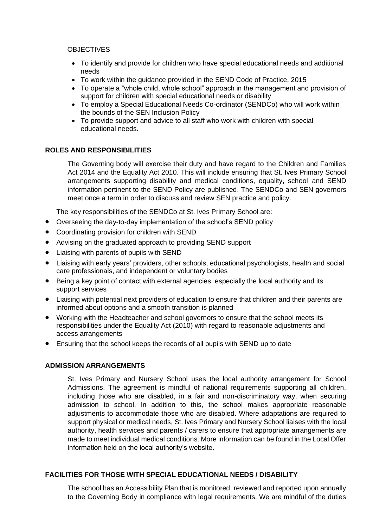## **OBJECTIVES**

- To identify and provide for children who have special educational needs and additional needs
- To work within the guidance provided in the SEND Code of Practice, 2015
- To operate a "whole child, whole school" approach in the management and provision of support for children with special educational needs or disability
- To employ a Special Educational Needs Co-ordinator (SENDCo) who will work within the bounds of the SEN Inclusion Policy
- To provide support and advice to all staff who work with children with special educational needs.

# **ROLES AND RESPONSIBILITIES**

The Governing body will exercise their duty and have regard to the Children and Families Act 2014 and the Equality Act 2010. This will include ensuring that St. Ives Primary School arrangements supporting disability and medical conditions, equality, school and SEND information pertinent to the SEND Policy are published. The SENDCo and SEN governors meet once a term in order to discuss and review SEN practice and policy.

The key responsibilities of the SENDCo at St. Ives Primary School are:

- Overseeing the day-to-day implementation of the school's SEND policy
- Coordinating provision for children with SEND
- Advising on the graduated approach to providing SEND support
- Liaising with parents of pupils with SEND
- Liaising with early years' providers, other schools, educational psychologists, health and social care professionals, and independent or voluntary bodies
- Being a key point of contact with external agencies, especially the local authority and its support services
- Liaising with potential next providers of education to ensure that children and their parents are informed about options and a smooth transition is planned
- Working with the Headteacher and school governors to ensure that the school meets its responsibilities under the Equality Act (2010) with regard to reasonable adjustments and access arrangements
- Ensuring that the school keeps the records of all pupils with SEND up to date

# **ADMISSION ARRANGEMENTS**

St. Ives Primary and Nursery School uses the local authority arrangement for School Admissions. The agreement is mindful of national requirements supporting all children, including those who are disabled, in a fair and non-discriminatory way, when securing admission to school. In addition to this, the school makes appropriate reasonable adjustments to accommodate those who are disabled. Where adaptations are required to support physical or medical needs, St. Ives Primary and Nursery School liaises with the local authority, health services and parents / carers to ensure that appropriate arrangements are made to meet individual medical conditions. More information can be found in the Local Offer information held on the local authority's website.

# **FACILITIES FOR THOSE WITH SPECIAL EDUCATIONAL NEEDS / DISABILITY**

The school has an Accessibility Plan that is monitored, reviewed and reported upon annually to the Governing Body in compliance with legal requirements. We are mindful of the duties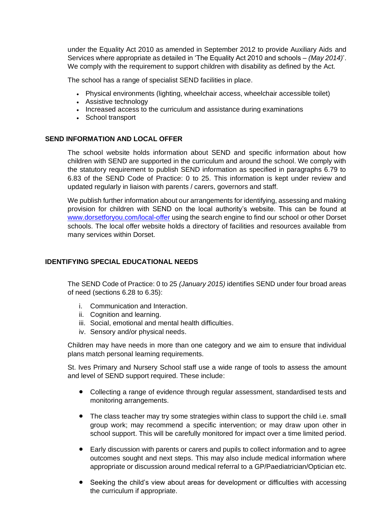under the Equality Act 2010 as amended in September 2012 to provide Auxiliary Aids and Services where appropriate as detailed in 'The Equality Act 2010 and schools – *(May 2014)*'. We comply with the requirement to support children with disability as defined by the Act.

The school has a range of specialist SEND facilities in place.

- Physical environments (lighting, wheelchair access, wheelchair accessible toilet)
- Assistive technology
- Increased access to the curriculum and assistance during examinations
- School transport

# **SEND INFORMATION AND LOCAL OFFER**

The school website holds information about SEND and specific information about how children with SEND are supported in the curriculum and around the school. We comply with the statutory requirement to publish SEND information as specified in paragraphs 6.79 to 6.83 of the SEND Code of Practice: 0 to 25. This information is kept under review and updated regularly in liaison with parents / carers, governors and staff.

We publish further information about our arrangements for identifying, assessing and making provision for children with SEND on the local authority's website. This can be found at [www.dorsetforyou.com/local-offer](http://www.dorsetforyou.com/local-offer) using the search engine to find our school or other Dorset schools. The local offer website holds a directory of facilities and resources available from many services within Dorset.

## **IDENTIFYING SPECIAL EDUCATIONAL NEEDS**

The SEND Code of Practice: 0 to 25 *(January 2015)* identifies SEND under four broad areas of need (sections 6.28 to 6.35):

- i. Communication and Interaction.
- ii. Cognition and learning.
- iii. Social, emotional and mental health difficulties.
- iv. Sensory and/or physical needs.

Children may have needs in more than one category and we aim to ensure that individual plans match personal learning requirements.

St. Ives Primary and Nursery School staff use a wide range of tools to assess the amount and level of SEND support required. These include:

- Collecting a range of evidence through regular assessment, standardised tests and monitoring arrangements.
- The class teacher may try some strategies within class to support the child i.e. small group work; may recommend a specific intervention; or may draw upon other in school support. This will be carefully monitored for impact over a time limited period.
- Early discussion with parents or carers and pupils to collect information and to agree outcomes sought and next steps. This may also include medical information where appropriate or discussion around medical referral to a GP/Paediatrician/Optician etc.
- Seeking the child's view about areas for development or difficulties with accessing the curriculum if appropriate.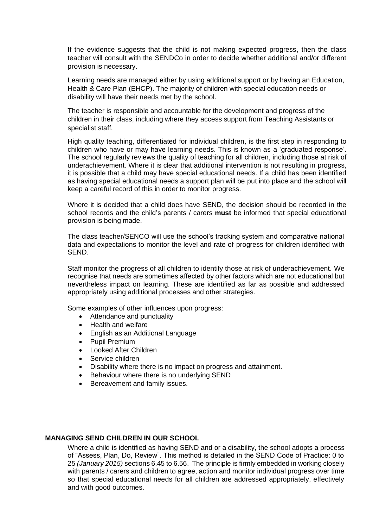If the evidence suggests that the child is not making expected progress, then the class teacher will consult with the SENDCo in order to decide whether additional and/or different provision is necessary.

Learning needs are managed either by using additional support or by having an Education, Health & Care Plan (EHCP). The majority of children with special education needs or disability will have their needs met by the school.

The teacher is responsible and accountable for the development and progress of the children in their class, including where they access support from Teaching Assistants or specialist staff.

High quality teaching, differentiated for individual children, is the first step in responding to children who have or may have learning needs. This is known as a 'graduated response'. The school regularly reviews the quality of teaching for all children, including those at risk of underachievement. Where it is clear that additional intervention is not resulting in progress, it is possible that a child may have special educational needs. If a child has been identified as having special educational needs a support plan will be put into place and the school will keep a careful record of this in order to monitor progress.

Where it is decided that a child does have SEND, the decision should be recorded in the school records and the child's parents / carers **must** be informed that special educational provision is being made.

The class teacher/SENCO will use the school's tracking system and comparative national data and expectations to monitor the level and rate of progress for children identified with SEND.

Staff monitor the progress of all children to identify those at risk of underachievement. We recognise that needs are sometimes affected by other factors which are not educational but nevertheless impact on learning. These are identified as far as possible and addressed appropriately using additional processes and other strategies.

Some examples of other influences upon progress:

- Attendance and punctuality
- Health and welfare
- English as an Additional Language
- Pupil Premium
- Looked After Children
- Service children
- Disability where there is no impact on progress and attainment.
- Behaviour where there is no underlying SEND
- Bereavement and family issues.

#### **MANAGING SEND CHILDREN IN OUR SCHOOL**

Where a child is identified as having SEND and or a disability, the school adopts a process of "Assess, Plan, Do, Review". This method is detailed in the SEND Code of Practice: 0 to 25 *(January 2015)* sections 6.45 to 6.56. The principle is firmly embedded in working closely with parents / carers and children to agree, action and monitor individual progress over time so that special educational needs for all children are addressed appropriately, effectively and with good outcomes.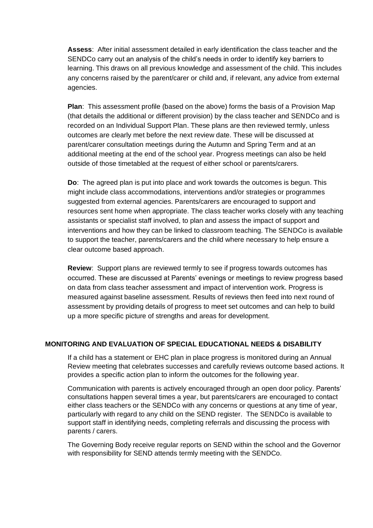**Assess**: After initial assessment detailed in early identification the class teacher and the SENDCo carry out an analysis of the child's needs in order to identify key barriers to learning. This draws on all previous knowledge and assessment of the child. This includes any concerns raised by the parent/carer or child and, if relevant, any advice from external agencies.

**Plan**: This assessment profile (based on the above) forms the basis of a Provision Map (that details the additional or different provision) by the class teacher and SENDCo and is recorded on an Individual Support Plan. These plans are then reviewed termly, unless outcomes are clearly met before the next review date. These will be discussed at parent/carer consultation meetings during the Autumn and Spring Term and at an additional meeting at the end of the school year. Progress meetings can also be held outside of those timetabled at the request of either school or parents/carers.

**Do**: The agreed plan is put into place and work towards the outcomes is begun. This might include class accommodations, interventions and/or strategies or programmes suggested from external agencies. Parents/carers are encouraged to support and resources sent home when appropriate. The class teacher works closely with any teaching assistants or specialist staff involved, to plan and assess the impact of support and interventions and how they can be linked to classroom teaching. The SENDCo is available to support the teacher, parents/carers and the child where necessary to help ensure a clear outcome based approach.

**Review**: Support plans are reviewed termly to see if progress towards outcomes has occurred. These are discussed at Parents' evenings or meetings to review progress based on data from class teacher assessment and impact of intervention work. Progress is measured against baseline assessment. Results of reviews then feed into next round of assessment by providing details of progress to meet set outcomes and can help to build up a more specific picture of strengths and areas for development.

# **MONITORING AND EVALUATION OF SPECIAL EDUCATIONAL NEEDS & DISABILITY**

If a child has a statement or EHC plan in place progress is monitored during an Annual Review meeting that celebrates successes and carefully reviews outcome based actions. It provides a specific action plan to inform the outcomes for the following year.

Communication with parents is actively encouraged through an open door policy. Parents' consultations happen several times a year, but parents/carers are encouraged to contact either class teachers or the SENDCo with any concerns or questions at any time of year, particularly with regard to any child on the SEND register. The SENDCo is available to support staff in identifying needs, completing referrals and discussing the process with parents / carers.

The Governing Body receive regular reports on SEND within the school and the Governor with responsibility for SEND attends termly meeting with the SENDCo.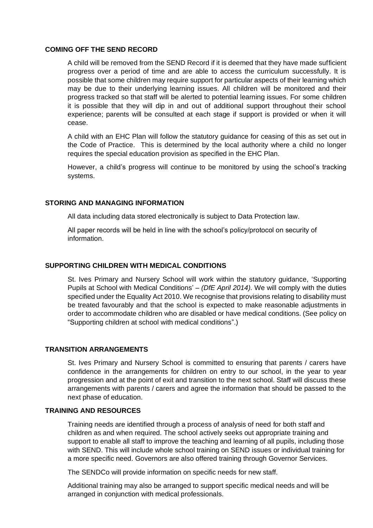#### **COMING OFF THE SEND RECORD**

A child will be removed from the SEND Record if it is deemed that they have made sufficient progress over a period of time and are able to access the curriculum successfully. It is possible that some children may require support for particular aspects of their learning which may be due to their underlying learning issues. All children will be monitored and their progress tracked so that staff will be alerted to potential learning issues. For some children it is possible that they will dip in and out of additional support throughout their school experience; parents will be consulted at each stage if support is provided or when it will cease.

A child with an EHC Plan will follow the statutory guidance for ceasing of this as set out in the Code of Practice. This is determined by the local authority where a child no longer requires the special education provision as specified in the EHC Plan.

However, a child's progress will continue to be monitored by using the school's tracking systems.

## **STORING AND MANAGING INFORMATION**

All data including data stored electronically is subject to Data Protection law.

All paper records will be held in line with the school's policy/protocol on security of information.

## **SUPPORTING CHILDREN WITH MEDICAL CONDITIONS**

St. Ives Primary and Nursery School will work within the statutory guidance, 'Supporting Pupils at School with Medical Conditions' – *(DfE April 2014).* We will comply with the duties specified under the Equality Act 2010. We recognise that provisions relating to disability must be treated favourably and that the school is expected to make reasonable adjustments in order to accommodate children who are disabled or have medical conditions. (See policy on "Supporting children at school with medical conditions".)

## **TRANSITION ARRANGEMENTS**

St. Ives Primary and Nursery School is committed to ensuring that parents / carers have confidence in the arrangements for children on entry to our school, in the year to year progression and at the point of exit and transition to the next school. Staff will discuss these arrangements with parents / carers and agree the information that should be passed to the next phase of education.

## **TRAINING AND RESOURCES**

Training needs are identified through a process of analysis of need for both staff and children as and when required. The school actively seeks out appropriate training and support to enable all staff to improve the teaching and learning of all pupils, including those with SEND. This will include whole school training on SEND issues or individual training for a more specific need. Governors are also offered training through Governor Services.

The SENDCo will provide information on specific needs for new staff.

Additional training may also be arranged to support specific medical needs and will be arranged in conjunction with medical professionals.